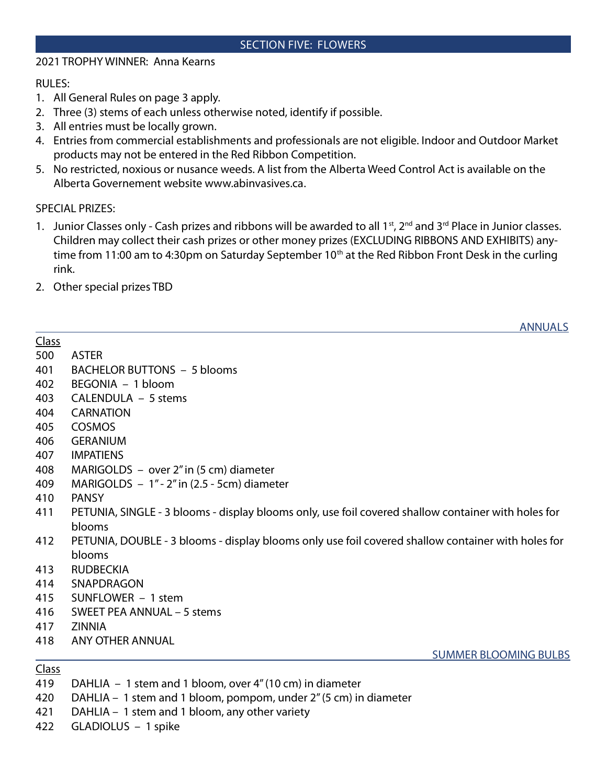## SECTION FIVE: FLOWERS

## 2021 TROPHY WINNER: Anna Kearns

RULES:

- 1. All General Rules on page 3 apply.
- 2. Three (3) stems of each unless otherwise noted, identify if possible.
- 3. All entries must be locally grown.
- 4. Entries from commercial establishments and professionals are not eligible. Indoor and Outdoor Market products may not be entered in the Red Ribbon Competition.
- 5. No restricted, noxious or nusance weeds. A list from the Alberta Weed Control Act is available on the Alberta Governement website www.abinvasives.ca.

## SPECIAL PRIZES:

- 1. Junior Classes only Cash prizes and ribbons will be awarded to all 1st, 2<sup>nd</sup> and 3<sup>rd</sup> Place in Junior classes. Children may collect their cash prizes or other money prizes (EXCLUDING RIBBONS AND EXHIBITS) anytime from 11:00 am to 4:30pm on Saturday September 10<sup>th</sup> at the Red Ribbon Front Desk in the curling rink.
- 2. Other special prizes TBD

ANNUALS

| <b>Class</b> |                                                                                                     |
|--------------|-----------------------------------------------------------------------------------------------------|
| 500          | <b>ASTER</b>                                                                                        |
| 401          | <b>BACHELOR BUTTONS - 5 blooms</b>                                                                  |
| 402          | BEGONIA - 1 bloom                                                                                   |
| 403          | CALENDULA - 5 stems                                                                                 |
| 404          | <b>CARNATION</b>                                                                                    |
| 405          | <b>COSMOS</b>                                                                                       |
| 406          | <b>GERANIUM</b>                                                                                     |
| 407          | <b>IMPATIENS</b>                                                                                    |
| 408          | MARIGOLDS - over 2" in (5 cm) diameter                                                              |
| 409          | MARIGOLDS $-1" - 2"$ in (2.5 - 5cm) diameter                                                        |
| 410          | <b>PANSY</b>                                                                                        |
| 411          | PETUNIA, SINGLE - 3 blooms - display blooms only, use foil covered shallow container with holes for |
|              | blooms                                                                                              |
| 412          | PETUNIA, DOUBLE - 3 blooms - display blooms only use foil covered shallow container with holes for  |
|              | blooms                                                                                              |
| 413          | <b>RUDBECKIA</b>                                                                                    |
| 414          | SNAPDRAGON                                                                                          |
| 415          | SUNFLOWER - 1 stem                                                                                  |
| 416          | SWEET PEA ANNUAL – 5 stems                                                                          |
| 417          | <b>ZINNIA</b>                                                                                       |
| 418          | ANY OTHER ANNUAL                                                                                    |
|              | <b>SUMMER BLOOMING BULBS</b>                                                                        |

## Class

- 419 DAHLIA 1 stem and 1 bloom, over 4" (10 cm) in diameter
- 420 DAHLIA 1 stem and 1 bloom, pompom, under 2" (5 cm) in diameter
- 421 DAHLIA 1 stem and 1 bloom, any other variety
- 422 GLADIOLUS 1 spike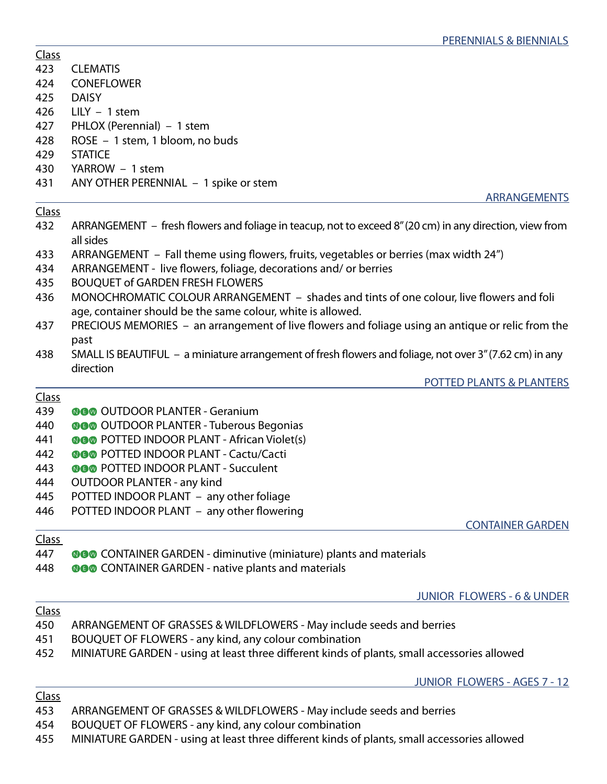| <b>Class</b> |                                                                                                                      |
|--------------|----------------------------------------------------------------------------------------------------------------------|
| 423          | <b>CLEMATIS</b>                                                                                                      |
| 424          | <b>CONEFLOWER</b>                                                                                                    |
| 425          | <b>DAISY</b>                                                                                                         |
| 426          | $LILY - 1$ stem                                                                                                      |
| 427          | PHLOX (Perennial) - 1 stem                                                                                           |
| 428          | ROSE - 1 stem, 1 bloom, no buds                                                                                      |
| 429          | <b>STATICE</b>                                                                                                       |
| 430          | YARROW - 1 stem                                                                                                      |
| 431          | ANY OTHER PERENNIAL - 1 spike or stem                                                                                |
|              | ARRANGEMENTS                                                                                                         |
| <b>Class</b> |                                                                                                                      |
| 432          | ARRANGEMENT – fresh flowers and foliage in teacup, not to exceed 8" (20 cm) in any direction, view from<br>all sides |
| 433          | ARRANGEMENT – Fall theme using flowers, fruits, vegetables or berries (max width 24")                                |
| 434          | ARRANGEMENT - live flowers, foliage, decorations and/ or berries                                                     |
| 435          | <b>BOUQUET of GARDEN FRESH FLOWERS</b>                                                                               |
| 436          | MONOCHROMATIC COLOUR ARRANGEMENT - shades and tints of one colour, live flowers and foli                             |
|              | age, container should be the same colour, white is allowed.                                                          |
| 437          | PRECIOUS MEMORIES - an arrangement of live flowers and foliage using an antique or relic from the                    |
|              | past                                                                                                                 |
| 438          | SMALL IS BEAUTIFUL - a miniature arrangement of fresh flowers and foliage, not over 3" (7.62 cm) in any              |
|              | direction                                                                                                            |
|              | POTTED PLANTS & PLANTERS                                                                                             |
| <b>Class</b> |                                                                                                                      |
| 439          | <b>@@@</b> OUTDOOR PLANTER - Geranium                                                                                |
| 440          | <b>OGO</b> OUTDOOR PLANTER - Tuberous Begonias                                                                       |
| 441          | <b>OGO</b> POTTED INDOOR PLANT - African Violet(s)                                                                   |
| 442          | <b>@@@</b> POTTED INDOOR PLANT - Cactu/Cacti                                                                         |
| 443          | <b>@@@</b> POTTED INDOOR PLANT - Succulent                                                                           |
| 444          | <b>OUTDOOR PLANTER - any kind</b>                                                                                    |
| 445          | POTTED INDOOR PLANT - any other foliage                                                                              |
| 446          | POTTED INDOOR PLANT - any other flowering                                                                            |
|              | <b>CONTAINER GARDEN</b>                                                                                              |
| Class        |                                                                                                                      |
| 447          | <b>OGO</b> CONTAINER GARDEN - diminutive (miniature) plants and materials                                            |
| 448          | <b>OGO</b> CONTAINER GARDEN - native plants and materials                                                            |
|              |                                                                                                                      |
|              | <b>JUNIOR FLOWERS - 6 &amp; UNDER</b>                                                                                |
| <b>Class</b> |                                                                                                                      |
| 450          | ARRANGEMENT OF GRASSES & WILDFLOWERS - May include seeds and berries                                                 |
| 451          | BOUQUET OF FLOWERS - any kind, any colour combination                                                                |
| 452          | MINIATURE GARDEN - using at least three different kinds of plants, small accessories allowed                         |
|              | <b>JUNIOR FLOWERS - AGES 7 - 12</b>                                                                                  |
| <b>Class</b> |                                                                                                                      |
| 453          | ARRANGEMENT OF GRASSES & WILDFLOWERS - May include seeds and berries                                                 |

<sup>454</sup> BOUQUET OF FLOWERS - any kind, any colour combination

<sup>455</sup> MINIATURE GARDEN - using at least three different kinds of plants, small accessories allowed